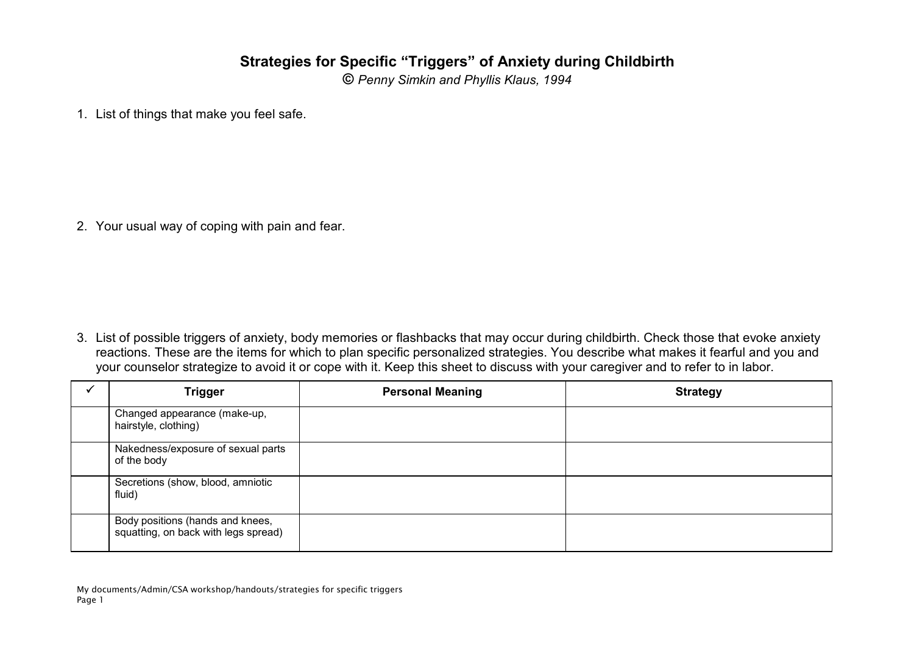## **Strategies for Specific "Triggers" of Anxiety during Childbirth**

**©** Penny Simkin and Phyllis Klaus, 1994

1. List of things that make you feel safe.

2. Your usual way of coping with pain and fear.

3. List of possible triggers of anxiety, body memories or flashbacks that may occur during childbirth. Check those that evoke anxiety reactions. These are the items for which to plan specific personalized strategies. You describe what makes it fearful and you and your counselor strategize to avoid it or cope with it. Keep this sheet to discuss with your caregiver and to refer to in labor.

| <b>Trigger</b>                                                           | <b>Personal Meaning</b> | <b>Strategy</b> |
|--------------------------------------------------------------------------|-------------------------|-----------------|
| Changed appearance (make-up,<br>hairstyle, clothing)                     |                         |                 |
| Nakedness/exposure of sexual parts<br>of the body                        |                         |                 |
| Secretions (show, blood, amniotic<br>fluid)                              |                         |                 |
| Body positions (hands and knees,<br>squatting, on back with legs spread) |                         |                 |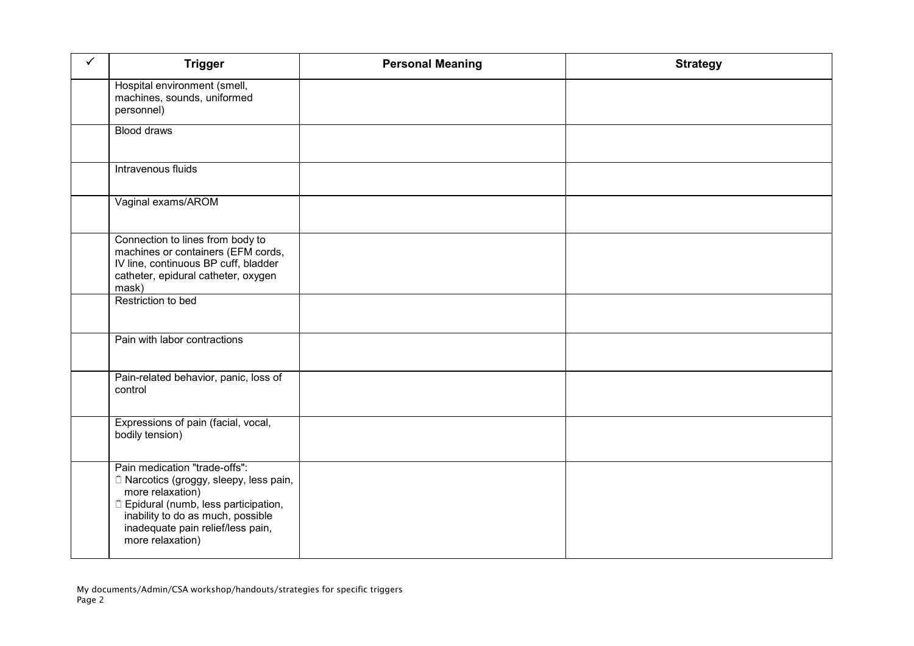| $\checkmark$ | <b>Trigger</b>                                                                                                                                                                                                                                                         | <b>Personal Meaning</b> | <b>Strategy</b> |
|--------------|------------------------------------------------------------------------------------------------------------------------------------------------------------------------------------------------------------------------------------------------------------------------|-------------------------|-----------------|
|              | Hospital environment (smell,<br>machines, sounds, uniformed<br>personnel)                                                                                                                                                                                              |                         |                 |
|              | <b>Blood draws</b>                                                                                                                                                                                                                                                     |                         |                 |
|              | Intravenous fluids                                                                                                                                                                                                                                                     |                         |                 |
|              | Vaginal exams/AROM                                                                                                                                                                                                                                                     |                         |                 |
|              | Connection to lines from body to<br>machines or containers (EFM cords,<br>IV line, continuous BP cuff, bladder<br>catheter, epidural catheter, oxygen<br>mask)                                                                                                         |                         |                 |
|              | Restriction to bed                                                                                                                                                                                                                                                     |                         |                 |
|              | Pain with labor contractions                                                                                                                                                                                                                                           |                         |                 |
|              | Pain-related behavior, panic, loss of<br>control                                                                                                                                                                                                                       |                         |                 |
|              | Expressions of pain (facial, vocal,<br>bodily tension)                                                                                                                                                                                                                 |                         |                 |
|              | Pain medication "trade-offs":<br><sup>1</sup> Narcotics (groggy, sleepy, less pain,<br>more relaxation)<br><sup><math>n</math></sup> Epidural (numb, less participation,<br>inability to do as much, possible<br>inadequate pain relief/less pain,<br>more relaxation) |                         |                 |